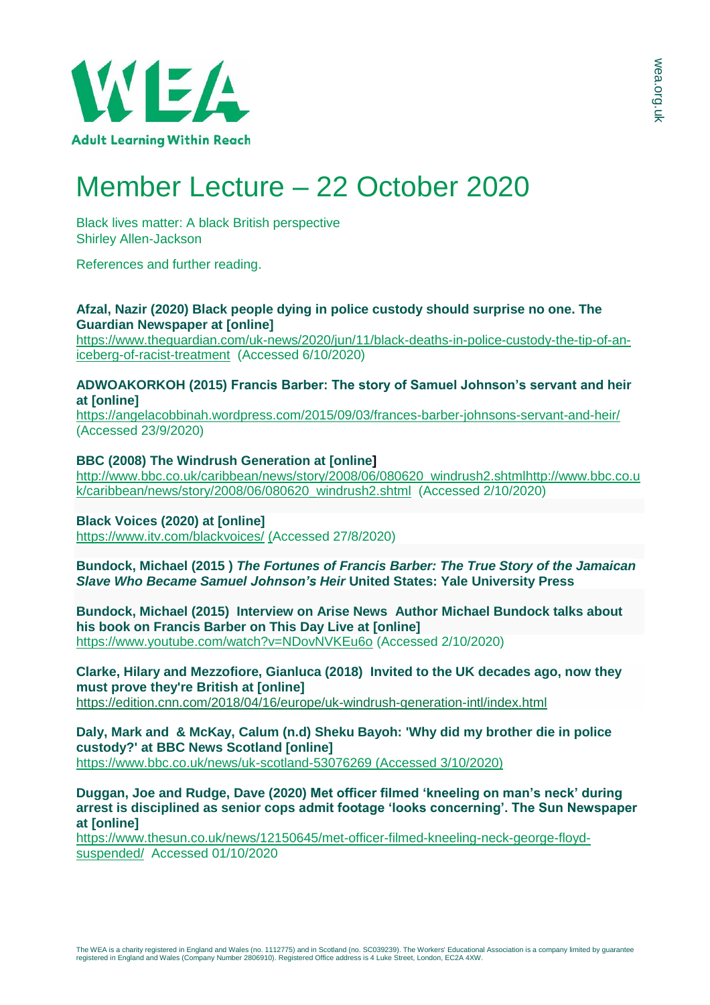

# Member Lecture – 22 October 2020

Black lives matter: A black British perspective Shirley Allen-Jackson

References and further reading.

### **Afzal, Nazir (2020) Black people dying in police custody should surprise no one. The Guardian Newspaper at [online]**

[https://www.theguardian.com/uk-news/2020/jun/11/black-deaths-in-police-custody-the-tip-of-an](https://www.theguardian.com/uk-news/2020/jun/11/black-deaths-in-police-custody-the-tip-of-an-iceberg-of-racist-treatment)[iceberg-of-racist-treatment](https://www.theguardian.com/uk-news/2020/jun/11/black-deaths-in-police-custody-the-tip-of-an-iceberg-of-racist-treatment) (Accessed 6/10/2020)

## **ADWOAKORKOH (2015) Francis Barber: The story of Samuel Johnson's servant and heir at [online]**

<https://angelacobbinah.wordpress.com/2015/09/03/frances-barber-johnsons-servant-and-heir/> (Accessed 23/9/2020)

# **BBC (2008) The Windrush Generation at [online]**

[http://www.bbc.co.uk/caribbean/news/story/2008/06/080620\\_windrush2.shtmlhttp://www.bbc.co.u](http://www.bbc.co.uk/caribbean/news/story/2008/06/080620_windrush2.shtml) [k/caribbean/news/story/2008/06/080620\\_windrush2.shtml](http://www.bbc.co.uk/caribbean/news/story/2008/06/080620_windrush2.shtml) (Accessed 2/10/2020)

#### **Black Voices (2020) at [online]** <https://www.itv.com/blackvoices/> (Accessed 27/8/2020)

**Bundock, Michael (2015 )** *The Fortunes of Francis Barber: The True Story of the Jamaican Slave Who Became Samuel Johnson's Heir* **United States: Yale University Press** 

**Bundock, Michael (2015) Interview on Arise News Author Michael Bundock talks about his book on Francis Barber on This Day Live at [online]**  <https://www.youtube.com/watch?v=NDovNVKEu6o> (Accessed 2/10/2020)

**Clarke, Hilary and Mezzofiore, Gianluca (2018) Invited to the UK decades ago, now they must prove they're British at [online]** <https://edition.cnn.com/2018/04/16/europe/uk-windrush-generation-intl/index.html>

**Daly, Mark and & McKay, Calum (n.d) Sheku Bayoh: 'Why did my brother die in police custody?' at BBC News Scotland [online]**  <https://www.bbc.co.uk/news/uk-scotland-53076269> (Accessed 3/10/2020)

**Duggan, Joe and Rudge, Dave (2020) Met officer filmed 'kneeling on man's neck' during arrest is disciplined as senior cops admit footage 'looks concerning'. The Sun Newspaper at [online]**

[https://www.thesun.co.uk/news/12150645/met-officer-filmed-kneeling-neck-george-floyd](https://www.thesun.co.uk/news/12150645/met-officer-filmed-kneeling-neck-george-floyd-suspended/)[suspended/](https://www.thesun.co.uk/news/12150645/met-officer-filmed-kneeling-neck-george-floyd-suspended/) Accessed 01/10/2020